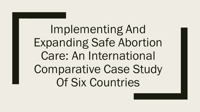Implementing And Expanding Safe Abortion Care: An International Comparative Case Study Of Six Countries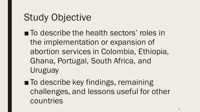#### Study Objective

- To describe the health sectors' roles in the implementation or expansion of abortion services in Colombia, Ethiopia, Ghana, Portugal, South Africa, and Uruguay
- To describe key findings, remaining challenges, and lessons useful for other countries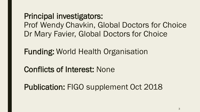Principal investigators: Prof Wendy Chavkin, Global Doctors for Choice Dr Mary Favier, Global Doctors for Choice

Funding: World Health Organisation

Conflicts of Interest: None

Publication: FIGO supplement Oct 2018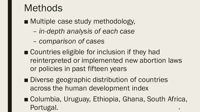#### **Methods**

■ Multiple case study methodology,

- *in-depth analysis of each case*
- *comparison of cases*
- Countries eligible for inclusion if they had reinterpreted or implemented new abortion laws or policies in past fifteen years
- Diverse geographic distribution of countries across the human development index
- Columbia, Uruguay, Ethiopia, Ghana, South Africa, Portugal.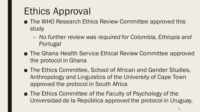## Ethics Approval

- The WHO Research Ethics Review Committee approved this study
	- *No further review was required for Colombia, Ethiopia and Portugal*
- The Ghana Health Service Ethical Review Committee approved the protocol in Ghana
- The Ethics Committee, School of African and Gender Studies, Anthropology and Linguistics of the University of Cape Town approved the protocol in South Africa
- The Ethics Committee of the Faculty of Psychology of the Universidad de la República approved the protocol in Uruguay.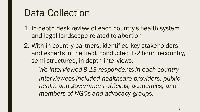#### Data Collection

- 1. In-depth desk review of each country's health system and legal landscape related to abortion
- 2. With in-country partners, identified key stakeholders and experts in the field, conducted 1-2 hour in-country, semi-structured, in-depth interviews.
	- *We interviewed 8-13 respondents in each country*
	- *Interviewees included healthcare providers, public health and government officials, academics, and members of NGOs and advocacy groups.*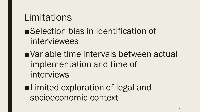#### **Limitations**

- ■Selection bias in identification of interviewees
- Variable time intervals between actual implementation and time of interviews
- ■Limited exploration of legal and socioeconomic context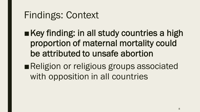## Findings: Context

- ■Key finding: in all study countries a high proportion of maternal mortality could be attributed to unsafe abortion
- ■Religion or religious groups associated with opposition in all countries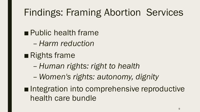# Findings: Framing Abortion Services

■ Public health frame

- *Harm reduction*
- ■Rights frame
	- *Human rights: right to health*
	- *Women's rights: autonomy, dignity*
- ■Integration into comprehensive reproductive health care bundle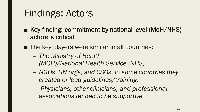## Findings: Actors

- Key finding: commitment by national-level (MoH/NHS) actors is critical
- The key players were similar in all countries:
	- *The Ministry of Health (MOH)/National Health Service (NHS)*
	- *NGOs, UN orgs, and CSOs, in some countries they created or lead guidelines/training.*
	- *Physicians, other clinicians, and professional associations tended to be supportive*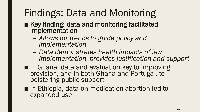# Findings: Data and Monitoring

- Key finding: data and monitoring facilitated implementation
	- *Allows for trends to guide policy and implementation*
	- *Data demonstrates health impacts of law implementation, provides justification and support*
- In Ghana, data and evaluation key to improving provision, and in both Ghana and Portugal, to bolstering public support
- In Ethiopia, data on medication abortion led to expanded use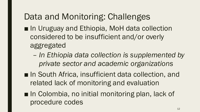#### Data and Monitoring: Challenges

- In Uruguay and Ethiopia, MoH data collection considered to be insufficient and/or overly aggregated
	- *In Ethiopia data collection is supplemented by private sector and academic organizations*
- In South Africa, insufficient data collection, and related lack of monitoring and evaluation
- In Colombia, no initial monitoring plan, lack of procedure codes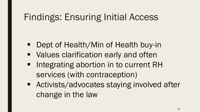## Findings: Ensuring Initial Access

- Dept of Health/Min of Health buy-in
- **Values clarification early and often**
- Integrating abortion in to current RH services (with contraception)
- Activists/advocates staying involved after change in the law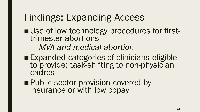## Findings: Expanding Access

- Use of low technology procedures for first-<br>trimester abortions
	- *MVA and medical abortion*
- Expanded categories of clinicians eligible to provide; task-shifting to non-physician cadres
- Public sector provision covered by insurance or with low copay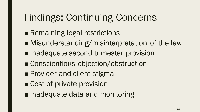# Findings: Continuing Concerns

- Remaining legal restrictions
- Misunderstanding/misinterpretation of the law
- Inadequate second trimester provision
- Conscientious objection/obstruction
- Provider and client stigma
- Cost of private provision
- Inadequate data and monitoring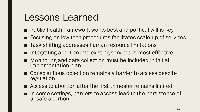#### Lessons Learned

- Public health framework works best and political will is key
- Focusing on low tech procedures facilitates scale-up of services
- Task shifting addresses human resource limitations
- Integrating abortion into existing services is most effective
- Monitoring and data collection must be included in initial implementation plan
- Conscientious objection remains a barrier to access despite regulation
- Access to abortion after the first trimester remains limited
- In some settings, barriers to access lead to the persistence of unsafe abortion